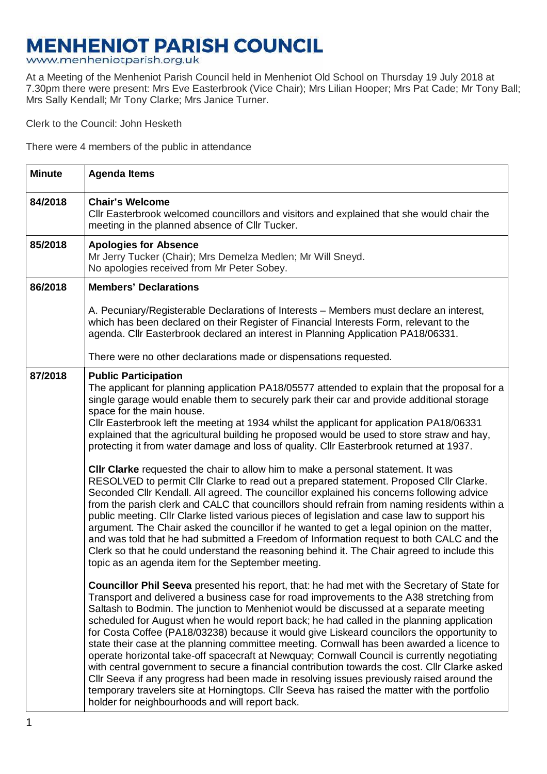## **MENHENIOT PARISH COUNCIL**

www.menheniotparish.org.uk

At a Meeting of the Menheniot Parish Council held in Menheniot Old School on Thursday 19 July 2018 at 7.30pm there were present: Mrs Eve Easterbrook (Vice Chair); Mrs Lilian Hooper; Mrs Pat Cade; Mr Tony Ball; Mrs Sally Kendall; Mr Tony Clarke; Mrs Janice Turner.

Clerk to the Council: John Hesketh

There were 4 members of the public in attendance

| <b>Minute</b> | <b>Agenda Items</b>                                                                                                                                                                                                                                                                                                                                                                                                                                                                                                                                                                                                                                                                                                                                                                                                                                                                                                                                                                                                                                                                                                                                                                                                                                                                                                                                                       |  |  |  |
|---------------|---------------------------------------------------------------------------------------------------------------------------------------------------------------------------------------------------------------------------------------------------------------------------------------------------------------------------------------------------------------------------------------------------------------------------------------------------------------------------------------------------------------------------------------------------------------------------------------------------------------------------------------------------------------------------------------------------------------------------------------------------------------------------------------------------------------------------------------------------------------------------------------------------------------------------------------------------------------------------------------------------------------------------------------------------------------------------------------------------------------------------------------------------------------------------------------------------------------------------------------------------------------------------------------------------------------------------------------------------------------------------|--|--|--|
| 84/2018       | <b>Chair's Welcome</b><br>CIIr Easterbrook welcomed councillors and visitors and explained that she would chair the<br>meeting in the planned absence of Cllr Tucker.                                                                                                                                                                                                                                                                                                                                                                                                                                                                                                                                                                                                                                                                                                                                                                                                                                                                                                                                                                                                                                                                                                                                                                                                     |  |  |  |
| 85/2018       | <b>Apologies for Absence</b><br>Mr Jerry Tucker (Chair); Mrs Demelza Medlen; Mr Will Sneyd.<br>No apologies received from Mr Peter Sobey.                                                                                                                                                                                                                                                                                                                                                                                                                                                                                                                                                                                                                                                                                                                                                                                                                                                                                                                                                                                                                                                                                                                                                                                                                                 |  |  |  |
| 86/2018       | <b>Members' Declarations</b>                                                                                                                                                                                                                                                                                                                                                                                                                                                                                                                                                                                                                                                                                                                                                                                                                                                                                                                                                                                                                                                                                                                                                                                                                                                                                                                                              |  |  |  |
|               | A. Pecuniary/Registerable Declarations of Interests – Members must declare an interest,<br>which has been declared on their Register of Financial Interests Form, relevant to the<br>agenda. Cllr Easterbrook declared an interest in Planning Application PA18/06331.                                                                                                                                                                                                                                                                                                                                                                                                                                                                                                                                                                                                                                                                                                                                                                                                                                                                                                                                                                                                                                                                                                    |  |  |  |
|               | There were no other declarations made or dispensations requested.                                                                                                                                                                                                                                                                                                                                                                                                                                                                                                                                                                                                                                                                                                                                                                                                                                                                                                                                                                                                                                                                                                                                                                                                                                                                                                         |  |  |  |
| 87/2018       | <b>Public Participation</b><br>The applicant for planning application PA18/05577 attended to explain that the proposal for a<br>single garage would enable them to securely park their car and provide additional storage<br>space for the main house.<br>Cllr Easterbrook left the meeting at 1934 whilst the applicant for application PA18/06331<br>explained that the agricultural building he proposed would be used to store straw and hay,<br>protecting it from water damage and loss of quality. Cllr Easterbrook returned at 1937.<br>CIIr Clarke requested the chair to allow him to make a personal statement. It was<br>RESOLVED to permit Cllr Clarke to read out a prepared statement. Proposed Cllr Clarke.<br>Seconded Cllr Kendall. All agreed. The councillor explained his concerns following advice<br>from the parish clerk and CALC that councillors should refrain from naming residents within a<br>public meeting. Cllr Clarke listed various pieces of legislation and case law to support his<br>argument. The Chair asked the councillor if he wanted to get a legal opinion on the matter,<br>and was told that he had submitted a Freedom of Information request to both CALC and the<br>Clerk so that he could understand the reasoning behind it. The Chair agreed to include this<br>topic as an agenda item for the September meeting. |  |  |  |
|               | <b>Councillor Phil Seeva</b> presented his report, that: he had met with the Secretary of State for<br>Transport and delivered a business case for road improvements to the A38 stretching from<br>Saltash to Bodmin. The junction to Menheniot would be discussed at a separate meeting<br>scheduled for August when he would report back; he had called in the planning application<br>for Costa Coffee (PA18/03238) because it would give Liskeard councilors the opportunity to<br>state their case at the planning committee meeting. Cornwall has been awarded a licence to<br>operate horizontal take-off spacecraft at Newquay; Cornwall Council is currently negotiating<br>with central government to secure a financial contribution towards the cost. Cllr Clarke asked<br>Cllr Seeva if any progress had been made in resolving issues previously raised around the<br>temporary travelers site at Horningtops. Cllr Seeva has raised the matter with the portfolio<br>holder for neighbourhoods and will report back.                                                                                                                                                                                                                                                                                                                                       |  |  |  |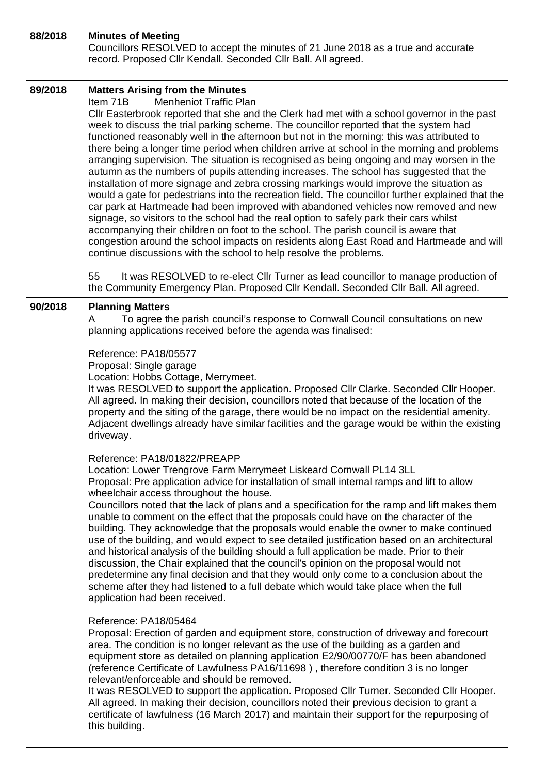| 88/2018 | <b>Minutes of Meeting</b><br>Councillors RESOLVED to accept the minutes of 21 June 2018 as a true and accurate<br>record. Proposed Cllr Kendall. Seconded Cllr Ball. All agreed.                                                                                                                                                                                                                                                                                                                                                                                                                                                                                                                                                                                                                                                                                                                                                                                                                                                                                                                                                                                                                                                                                                                                                                                                                                                                                                                                                                                                                                                                                                                                                                                                                                                                                                                                                                                                                                                                                                                                                                                                                                                                                                                                                                                                                                                                                                            |  |  |  |
|---------|---------------------------------------------------------------------------------------------------------------------------------------------------------------------------------------------------------------------------------------------------------------------------------------------------------------------------------------------------------------------------------------------------------------------------------------------------------------------------------------------------------------------------------------------------------------------------------------------------------------------------------------------------------------------------------------------------------------------------------------------------------------------------------------------------------------------------------------------------------------------------------------------------------------------------------------------------------------------------------------------------------------------------------------------------------------------------------------------------------------------------------------------------------------------------------------------------------------------------------------------------------------------------------------------------------------------------------------------------------------------------------------------------------------------------------------------------------------------------------------------------------------------------------------------------------------------------------------------------------------------------------------------------------------------------------------------------------------------------------------------------------------------------------------------------------------------------------------------------------------------------------------------------------------------------------------------------------------------------------------------------------------------------------------------------------------------------------------------------------------------------------------------------------------------------------------------------------------------------------------------------------------------------------------------------------------------------------------------------------------------------------------------------------------------------------------------------------------------------------------------|--|--|--|
| 89/2018 | <b>Matters Arising from the Minutes</b><br><b>Menheniot Traffic Plan</b><br>Item 71B<br>CIIr Easterbrook reported that she and the Clerk had met with a school governor in the past<br>week to discuss the trial parking scheme. The councillor reported that the system had<br>functioned reasonably well in the afternoon but not in the morning: this was attributed to<br>there being a longer time period when children arrive at school in the morning and problems<br>arranging supervision. The situation is recognised as being ongoing and may worsen in the<br>autumn as the numbers of pupils attending increases. The school has suggested that the<br>installation of more signage and zebra crossing markings would improve the situation as<br>would a gate for pedestrians into the recreation field. The councillor further explained that the<br>car park at Hartmeade had been improved with abandoned vehicles now removed and new<br>signage, so visitors to the school had the real option to safely park their cars whilst<br>accompanying their children on foot to the school. The parish council is aware that<br>congestion around the school impacts on residents along East Road and Hartmeade and will<br>continue discussions with the school to help resolve the problems.                                                                                                                                                                                                                                                                                                                                                                                                                                                                                                                                                                                                                                                                                                                                                                                                                                                                                                                                                                                                                                                                                                                                                                                 |  |  |  |
|         | 55<br>It was RESOLVED to re-elect Cllr Turner as lead councillor to manage production of<br>the Community Emergency Plan. Proposed Cllr Kendall. Seconded Cllr Ball. All agreed.                                                                                                                                                                                                                                                                                                                                                                                                                                                                                                                                                                                                                                                                                                                                                                                                                                                                                                                                                                                                                                                                                                                                                                                                                                                                                                                                                                                                                                                                                                                                                                                                                                                                                                                                                                                                                                                                                                                                                                                                                                                                                                                                                                                                                                                                                                            |  |  |  |
| 90/2018 | <b>Planning Matters</b><br>A<br>To agree the parish council's response to Cornwall Council consultations on new<br>planning applications received before the agenda was finalised:<br>Reference: PA18/05577<br>Proposal: Single garage<br>Location: Hobbs Cottage, Merrymeet.<br>It was RESOLVED to support the application. Proposed Cllr Clarke. Seconded Cllr Hooper.<br>All agreed. In making their decision, councillors noted that because of the location of the<br>property and the siting of the garage, there would be no impact on the residential amenity.<br>Adjacent dwellings already have similar facilities and the garage would be within the existing<br>driveway.<br>Reference: PA18/01822/PREAPP<br>Location: Lower Trengrove Farm Merrymeet Liskeard Cornwall PL14 3LL<br>Proposal: Pre application advice for installation of small internal ramps and lift to allow<br>wheelchair access throughout the house.<br>Councillors noted that the lack of plans and a specification for the ramp and lift makes them<br>unable to comment on the effect that the proposals could have on the character of the<br>building. They acknowledge that the proposals would enable the owner to make continued<br>use of the building, and would expect to see detailed justification based on an architectural<br>and historical analysis of the building should a full application be made. Prior to their<br>discussion, the Chair explained that the council's opinion on the proposal would not<br>predetermine any final decision and that they would only come to a conclusion about the<br>scheme after they had listened to a full debate which would take place when the full<br>application had been received.<br>Reference: PA18/05464<br>Proposal: Erection of garden and equipment store, construction of driveway and forecourt<br>area. The condition is no longer relevant as the use of the building as a garden and<br>equipment store as detailed on planning application E2/90/00770/F has been abandoned<br>(reference Certificate of Lawfulness PA16/11698), therefore condition 3 is no longer<br>relevant/enforceable and should be removed.<br>It was RESOLVED to support the application. Proposed Cllr Turner. Seconded Cllr Hooper.<br>All agreed. In making their decision, councillors noted their previous decision to grant a<br>certificate of lawfulness (16 March 2017) and maintain their support for the repurposing of<br>this building. |  |  |  |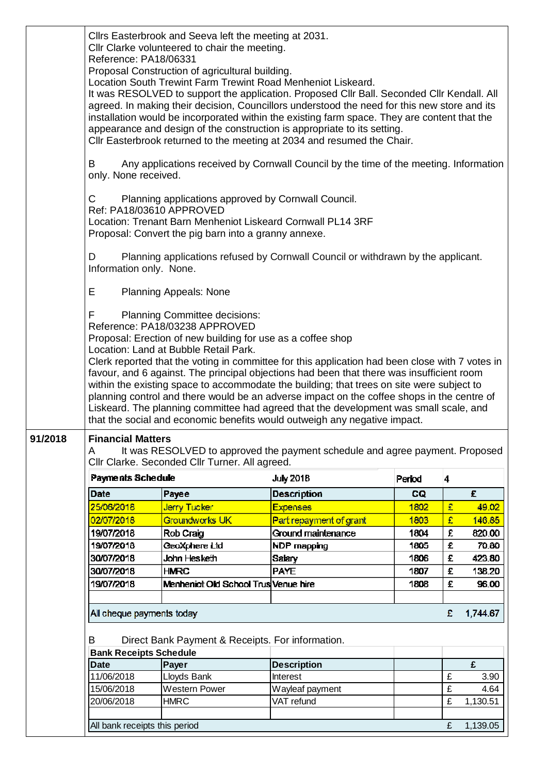|                                                                                                                                                                                                              | Cllrs Easterbrook and Seeva left the meeting at 2031.<br>Cllr Clarke volunteered to chair the meeting.<br>Reference: PA18/06331<br>Proposal Construction of agricultural building.<br>Location South Trewint Farm Trewint Road Menheniot Liskeard.<br>It was RESOLVED to support the application. Proposed CIIr Ball. Seconded CIIr Kendall. All<br>agreed. In making their decision, Councillors understood the need for this new store and its<br>installation would be incorporated within the existing farm space. They are content that the<br>appearance and design of the construction is appropriate to its setting.<br>Cllr Easterbrook returned to the meeting at 2034 and resumed the Chair.<br>Any applications received by Cornwall Council by the time of the meeting. Information<br>B<br>only. None received.<br>Planning applications approved by Cornwall Council.<br>C<br>Ref: PA18/03610 APPROVED |                                                                                                                                                                                |                                                                                                                                                                                                                                                                                                                                                                                                                                                                                                                                                               |        |   |          |  |
|--------------------------------------------------------------------------------------------------------------------------------------------------------------------------------------------------------------|-----------------------------------------------------------------------------------------------------------------------------------------------------------------------------------------------------------------------------------------------------------------------------------------------------------------------------------------------------------------------------------------------------------------------------------------------------------------------------------------------------------------------------------------------------------------------------------------------------------------------------------------------------------------------------------------------------------------------------------------------------------------------------------------------------------------------------------------------------------------------------------------------------------------------|--------------------------------------------------------------------------------------------------------------------------------------------------------------------------------|---------------------------------------------------------------------------------------------------------------------------------------------------------------------------------------------------------------------------------------------------------------------------------------------------------------------------------------------------------------------------------------------------------------------------------------------------------------------------------------------------------------------------------------------------------------|--------|---|----------|--|
| Location: Trenant Barn Menheniot Liskeard Cornwall PL14 3RF<br>Proposal: Convert the pig barn into a granny annexe.<br>D<br>Planning applications refused by Cornwall Council or withdrawn by the applicant. |                                                                                                                                                                                                                                                                                                                                                                                                                                                                                                                                                                                                                                                                                                                                                                                                                                                                                                                       |                                                                                                                                                                                |                                                                                                                                                                                                                                                                                                                                                                                                                                                                                                                                                               |        |   |          |  |
|                                                                                                                                                                                                              | Information only. None.<br>E.<br><b>Planning Appeals: None</b>                                                                                                                                                                                                                                                                                                                                                                                                                                                                                                                                                                                                                                                                                                                                                                                                                                                        |                                                                                                                                                                                |                                                                                                                                                                                                                                                                                                                                                                                                                                                                                                                                                               |        |   |          |  |
|                                                                                                                                                                                                              | F                                                                                                                                                                                                                                                                                                                                                                                                                                                                                                                                                                                                                                                                                                                                                                                                                                                                                                                     | <b>Planning Committee decisions:</b><br>Reference: PA18/03238 APPROVED<br>Proposal: Erection of new building for use as a coffee shop<br>Location: Land at Bubble Retail Park. | Clerk reported that the voting in committee for this application had been close with 7 votes in<br>favour, and 6 against. The principal objections had been that there was insufficient room<br>within the existing space to accommodate the building; that trees on site were subject to<br>planning control and there would be an adverse impact on the coffee shops in the centre of<br>Liskeard. The planning committee had agreed that the development was small scale, and<br>that the social and economic benefits would outweigh any negative impact. |        |   |          |  |
| 91/2018                                                                                                                                                                                                      | <b>Financial Matters</b><br>It was RESOLVED to approved the payment schedule and agree payment. Proposed<br>A<br>Cllr Clarke. Seconded Cllr Turner. All agreed.                                                                                                                                                                                                                                                                                                                                                                                                                                                                                                                                                                                                                                                                                                                                                       |                                                                                                                                                                                |                                                                                                                                                                                                                                                                                                                                                                                                                                                                                                                                                               |        |   |          |  |
|                                                                                                                                                                                                              | Payments Schedule                                                                                                                                                                                                                                                                                                                                                                                                                                                                                                                                                                                                                                                                                                                                                                                                                                                                                                     |                                                                                                                                                                                | <b>July 2018</b>                                                                                                                                                                                                                                                                                                                                                                                                                                                                                                                                              | Period | 4 |          |  |
|                                                                                                                                                                                                              | Date                                                                                                                                                                                                                                                                                                                                                                                                                                                                                                                                                                                                                                                                                                                                                                                                                                                                                                                  | Payee                                                                                                                                                                          | <b>Description</b>                                                                                                                                                                                                                                                                                                                                                                                                                                                                                                                                            | CQ     |   | £        |  |
|                                                                                                                                                                                                              | 25/06/2018                                                                                                                                                                                                                                                                                                                                                                                                                                                                                                                                                                                                                                                                                                                                                                                                                                                                                                            | Jerry Tucker                                                                                                                                                                   | <b>Expenses</b>                                                                                                                                                                                                                                                                                                                                                                                                                                                                                                                                               | 1802   | £ | 49.02    |  |
|                                                                                                                                                                                                              | 02/07/2018                                                                                                                                                                                                                                                                                                                                                                                                                                                                                                                                                                                                                                                                                                                                                                                                                                                                                                            | Groundworks UK                                                                                                                                                                 | Part repayment of grant                                                                                                                                                                                                                                                                                                                                                                                                                                                                                                                                       | 1803   | £ | 146.85   |  |
|                                                                                                                                                                                                              | 19/07/2018                                                                                                                                                                                                                                                                                                                                                                                                                                                                                                                                                                                                                                                                                                                                                                                                                                                                                                            | Rob Craig                                                                                                                                                                      | Ground maintenance                                                                                                                                                                                                                                                                                                                                                                                                                                                                                                                                            | 1804   | £ | 820.00   |  |
|                                                                                                                                                                                                              | 19/07/2018                                                                                                                                                                                                                                                                                                                                                                                                                                                                                                                                                                                                                                                                                                                                                                                                                                                                                                            | GeoXphere Ltd                                                                                                                                                                  | NDP mapping                                                                                                                                                                                                                                                                                                                                                                                                                                                                                                                                                   | 1805   | £ | 70.80    |  |
|                                                                                                                                                                                                              | 30/07/2018                                                                                                                                                                                                                                                                                                                                                                                                                                                                                                                                                                                                                                                                                                                                                                                                                                                                                                            | John Hesketh                                                                                                                                                                   | <b>Salary</b>                                                                                                                                                                                                                                                                                                                                                                                                                                                                                                                                                 | 1806   | £ | 423.80   |  |
|                                                                                                                                                                                                              | 30/07/2018                                                                                                                                                                                                                                                                                                                                                                                                                                                                                                                                                                                                                                                                                                                                                                                                                                                                                                            | <b>HMRC</b>                                                                                                                                                                    | <b>PAYE</b>                                                                                                                                                                                                                                                                                                                                                                                                                                                                                                                                                   | 1807   | £ | 138.20   |  |
|                                                                                                                                                                                                              | 19/07/2018                                                                                                                                                                                                                                                                                                                                                                                                                                                                                                                                                                                                                                                                                                                                                                                                                                                                                                            | Menheniot Old School Trus Venue hire                                                                                                                                           |                                                                                                                                                                                                                                                                                                                                                                                                                                                                                                                                                               | 1808   | £ | 96.00    |  |
|                                                                                                                                                                                                              |                                                                                                                                                                                                                                                                                                                                                                                                                                                                                                                                                                                                                                                                                                                                                                                                                                                                                                                       |                                                                                                                                                                                |                                                                                                                                                                                                                                                                                                                                                                                                                                                                                                                                                               |        |   |          |  |
|                                                                                                                                                                                                              | All cheque payments today                                                                                                                                                                                                                                                                                                                                                                                                                                                                                                                                                                                                                                                                                                                                                                                                                                                                                             |                                                                                                                                                                                |                                                                                                                                                                                                                                                                                                                                                                                                                                                                                                                                                               |        | £ | 1,744.67 |  |
|                                                                                                                                                                                                              | B<br><b>Bank Receipts Schedule</b>                                                                                                                                                                                                                                                                                                                                                                                                                                                                                                                                                                                                                                                                                                                                                                                                                                                                                    | Direct Bank Payment & Receipts. For information.                                                                                                                               |                                                                                                                                                                                                                                                                                                                                                                                                                                                                                                                                                               |        |   |          |  |
|                                                                                                                                                                                                              | <b>Date</b>                                                                                                                                                                                                                                                                                                                                                                                                                                                                                                                                                                                                                                                                                                                                                                                                                                                                                                           | Payer                                                                                                                                                                          | <b>Description</b>                                                                                                                                                                                                                                                                                                                                                                                                                                                                                                                                            |        |   | £        |  |
|                                                                                                                                                                                                              | 11/06/2018                                                                                                                                                                                                                                                                                                                                                                                                                                                                                                                                                                                                                                                                                                                                                                                                                                                                                                            | Lloyds Bank                                                                                                                                                                    | Interest                                                                                                                                                                                                                                                                                                                                                                                                                                                                                                                                                      |        | £ | 3.90     |  |
|                                                                                                                                                                                                              | 15/06/2018                                                                                                                                                                                                                                                                                                                                                                                                                                                                                                                                                                                                                                                                                                                                                                                                                                                                                                            | Western Power                                                                                                                                                                  | Wayleaf payment                                                                                                                                                                                                                                                                                                                                                                                                                                                                                                                                               |        | £ | 4.64     |  |
|                                                                                                                                                                                                              | 20/06/2018                                                                                                                                                                                                                                                                                                                                                                                                                                                                                                                                                                                                                                                                                                                                                                                                                                                                                                            | <b>HMRC</b>                                                                                                                                                                    | VAT refund                                                                                                                                                                                                                                                                                                                                                                                                                                                                                                                                                    |        | £ | 1,130.51 |  |
|                                                                                                                                                                                                              |                                                                                                                                                                                                                                                                                                                                                                                                                                                                                                                                                                                                                                                                                                                                                                                                                                                                                                                       |                                                                                                                                                                                |                                                                                                                                                                                                                                                                                                                                                                                                                                                                                                                                                               |        |   |          |  |
|                                                                                                                                                                                                              | All bank receipts this period                                                                                                                                                                                                                                                                                                                                                                                                                                                                                                                                                                                                                                                                                                                                                                                                                                                                                         |                                                                                                                                                                                |                                                                                                                                                                                                                                                                                                                                                                                                                                                                                                                                                               |        | £ | 1,139.05 |  |